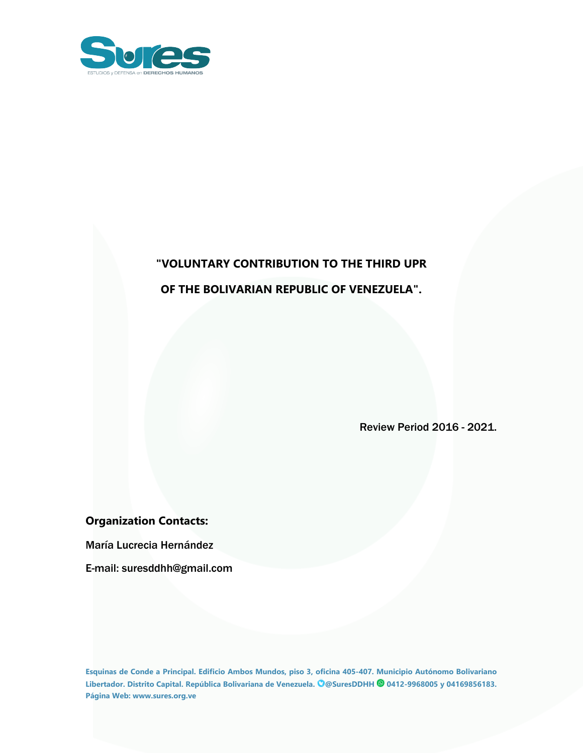

## **"VOLUNTARY CONTRIBUTION TO THE THIRD UPR OF THE BOLIVARIAN REPUBLIC OF VENEZUELA".**

# Review Period 2016 - 2021.

### **Organization Contacts:**

María Lucrecia Hernández

E-mail: suresddhh@gmail.com

**Esquinas de Conde <sup>a</sup> Principal. Edificio Ambos Mundos, piso 3, oficina 405-407. Municipio Autónomo Bolivariano Libertador. Distrito Capital. República Bolivariana de Venezuela. @SuresDDHH 0412-9968005 y 04169856183. Página Web: www.sures.org.ve**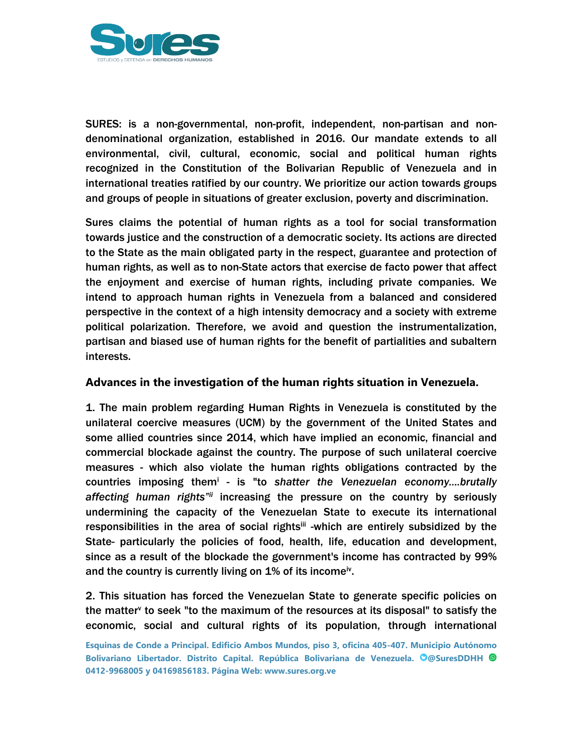

SURES: is <sup>a</sup> non-governmental, non-profit, independent, non-partisan and nondenominational organization, established in 2016. Our mandate extends to all environmental, civil, cultural, economic, social and political human rights recognized in the Constitution of the Bolivarian Republic of Venezuela and in international treaties ratified by our country. We prioritize our action towards groups and groups of people in situations of greater exclusion, poverty and discrimination.

Sures claims the potential of human rights as <sup>a</sup> tool for social transformation towards justice and the construction of <sup>a</sup> democratic society. Its actions are directed to the State as the main obligated party in the respect, guarantee and protection of human rights, as well as to non-State actors that exercise de facto power that affect the enjoyment and exercise of human rights, including private companies. We intend to approach human rights in Venezuela from <sup>a</sup> balanced and considered perspective in the context of <sup>a</sup> high intensity democracy and <sup>a</sup> society with extreme political polarization. Therefore, we avoid and question the instrumentalization, partisan and biased use of human rights for the benefit of partialities and subaltern interests.

#### **Advances in the investigation of the human rights situation in Venezuela.**

1. The main problem regarding Human Rights in Venezuela is constituted by the unilateral coercive measures (UCM) by the government of the United States and some allied countries since 2014, which have implied an economic, financial and commercial blockade against the country. The purpose of such unilateral coercive measures - which also violate the human rights obligations contracted by the countries imposing them<sup>i</sup> - is "to *shatter the Venezuelan economy....brutally* affecting human rights"<sup>ii</sup> increasing the pressure on the country by seriously undermining the capacity of the Venezuelan State to execute its international responsibilities in the area of social rights<sup>iii</sup> -which are entirely subsidized by the State- particularly the policies of food, health, life, education and development, since as <sup>a</sup> result of the blockade the government's income has contracted by 99% and the country is currently living on  $\bf 1\%$  of its income<sup>iv</sup>.

2. This situation has forced the Venezuelan State to generate specific policies on the matter<sup>v</sup> to seek "to the maximum of the resources at its disposal" to satisfy the economic, social and cultural rights of its population, through international

**Esquinas de Conde <sup>a</sup> Principal. Edificio Ambos Mundos, piso 3, oficina 405-407. Municipio Autónomo Bolivariano Libertador. Distrito Capital. República Bolivariana de Venezuela. @SuresDDHH 0412-9968005 y 04169856183. Página Web: www.sures.org.ve**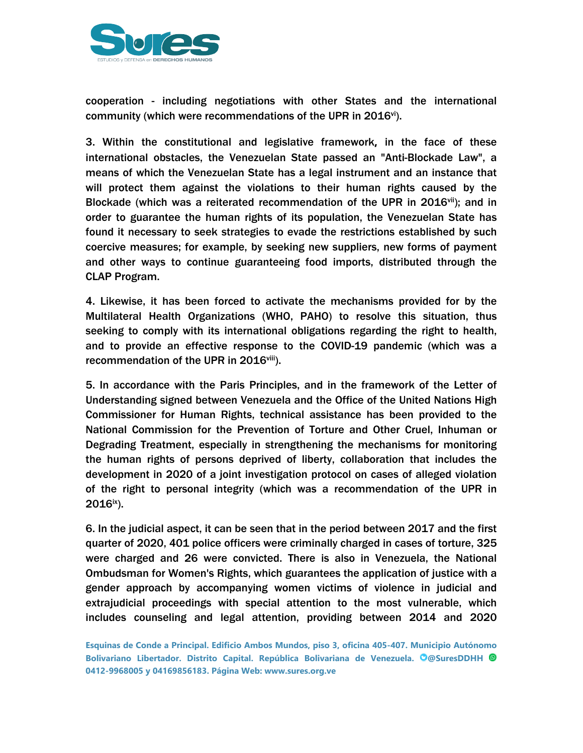

cooperation - including negotiations with other States and the international community (which were recommendations of the UPR in 2016 $^{\rm{vi}}$ ).

3. Within the constitutional and legislative framework**,** in the face of these international obstacles, the Venezuelan State passed an "Anti-Blockade Law", <sup>a</sup> means of which the Venezuelan State has <sup>a</sup> legal instrument and an instance that will protect them against the violations to their human rights caused by the Blockade (which was a reiterated recommendation of the UPR in 2016<sup>vii</sup>); and in order to guarantee the human rights of its population, the Venezuelan State has found it necessary to seek strategies to evade the restrictions established by such coercive measures; for example, by seeking new suppliers, new forms of payment and other ways to continue guaranteeing food imports, distributed through the CLAP Program.

4. Likewise, it has been forced to activate the mechanisms provided for by the Multilateral Health Organizations (WHO, PAHO) to resolve this situation, thus seeking to comply with its international obligations regarding the right to health, and to provide an effective response to the COVID-19 pandemic (which was <sup>a</sup> recommendation of the UPR in 2016<sup>viii</sup>).

5. In accordance with the Paris Principles, and in the framework of the Letter of Understanding signed between Venezuela and the Office of the United Nations High Commissioner for Human Rights, technical assistance has been provided to the National Commission for the Prevention of Torture and Other Cruel, Inhuman or Degrading Treatment, especially in strengthening the mechanisms for monitoring the human rights of persons deprived of liberty, collaboration that includes the development in 2020 of <sup>a</sup> joint investigation protocol on cases of alleged violation of the right to personal integrity (which was <sup>a</sup> recommendation of the UPR in 2016<sup>ix</sup>).

6. In the judicial aspect, it can be seen that in the period between 2017 and the first quarter of 2020, 401 police officers were criminally charged in cases of torture, 325 were charged and 26 were convicted. There is also in Venezuela, the National Ombudsman for Women's Rights, which guarantees the application of justice with <sup>a</sup> gender approach by accompanying women victims of violence in judicial and extrajudicial proceedings with special attention to the most vulnerable, which includes counseling and legal attention, providing between 2014 and 2020

**Esquinas de Conde <sup>a</sup> Principal. Edificio Ambos Mundos, piso 3, oficina 405-407. Municipio Autónomo Bolivariano Libertador. Distrito Capital. República Bolivariana de Venezuela. @SuresDDHH 0412-9968005 y 04169856183. Página Web: www.sures.org.ve**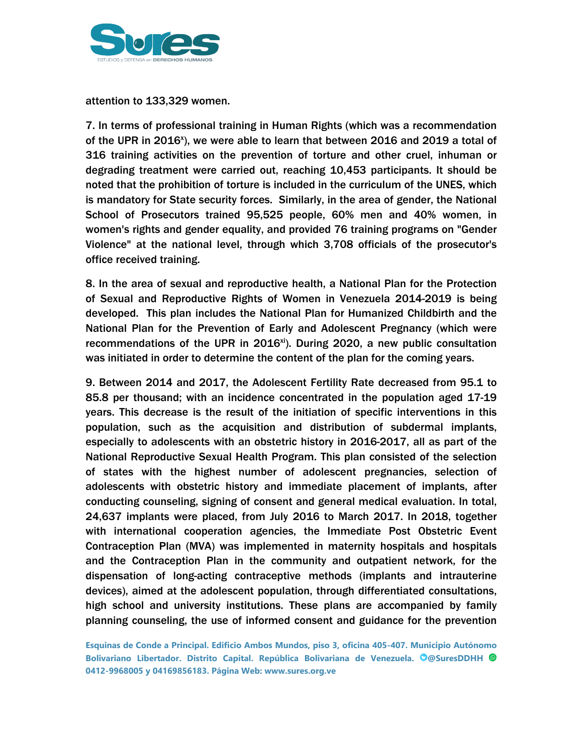

attention to 133,329 women.

7. In terms of professional training in Human Rights (which was <sup>a</sup> recommendation of the UPR in 2016<sup>x</sup>), we were able to learn that between 2016 and 2019 a total of 316 training activities on the prevention of torture and other cruel, inhuman or degrading treatment were carried out, reaching 10,453 participants. It should be noted that the prohibition of torture is included in the curriculum of the UNES, which is mandatory for State security forces. Similarly, in the area of gender, the National School of Prosecutors trained 95,525 people, 60% men and 40% women, in women's rights and gender equality, and provided 76 training programs on "Gender Violence" at the national level, through which 3,708 officials of the prosecutor's office received training.

8. In the area of sexual and reproductive health, <sup>a</sup> National Plan for the Protection of Sexual and Reproductive Rights of Women in Venezuela 2014-2019 is being developed. This plan includes the National Plan for Humanized Childbirth and the National Plan for the Prevention of Early and Adolescent Pregnancy (which were recommendations of the UPR in 2016<sup>xi</sup>). During 2020, a new public consultation was initiated in order to determine the content of the plan for the coming years.

9. Between 2014 and 2017, the Adolescent Fertility Rate decreased from 95.1 to 85.8 per thousand; with an incidence concentrated in the population aged 17-19 years. This decrease is the result of the initiation of specific interventions in this population, such as the acquisition and distribution of subdermal implants, especially to adolescents with an obstetric history in 2016-2017, all as part of the National Reproductive Sexual Health Program. This plan consisted of the selection of states with the highest number of adolescent pregnancies, selection of adolescents with obstetric history and immediate placement of implants, after conducting counseling, signing of consent and general medical evaluation. In total, 24,637 implants were placed, from July 2016 to March 2017. In 2018, together with international cooperation agencies, the Immediate Post Obstetric Event Contraception Plan (MVA) was implemented in maternity hospitals and hospitals and the Contraception Plan in the community and outpatient network, for the dispensation of long-acting contraceptive methods (implants and intrauterine devices), aimed at the adolescent population, through differentiated consultations, high school and university institutions. These plans are accompanied by family planning counseling, the use of informed consent and guidance for the prevention

**Esquinas de Conde <sup>a</sup> Principal. Edificio Ambos Mundos, piso 3, oficina 405-407. Municipio Autónomo Bolivariano Libertador. Distrito Capital. República Bolivariana de Venezuela. @SuresDDHH 0412-9968005 y 04169856183. Página Web: www.sures.org.ve**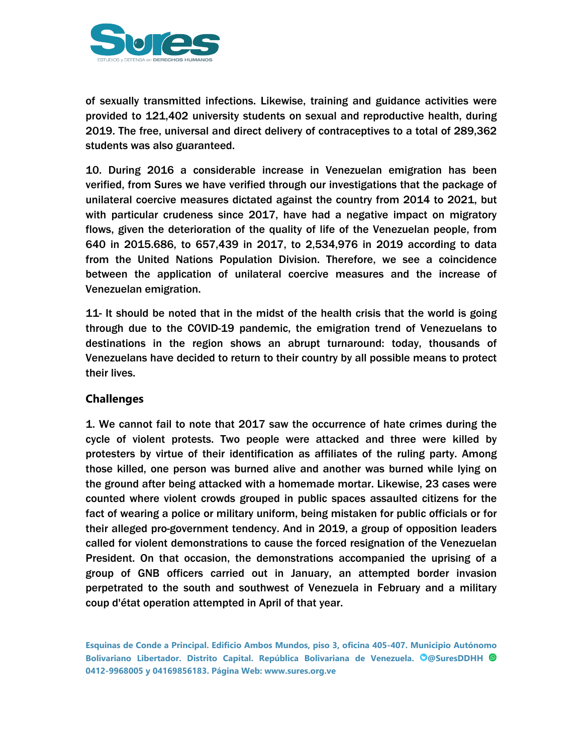

of sexually transmitted infections. Likewise, training and guidance activities were provided to 121,402 university students on sexual and reproductive health, during 2019. The free, universal and direct delivery of contraceptives to <sup>a</sup> total of 289,362 students was also guaranteed.

10. During 2016 <sup>a</sup> considerable increase in Venezuelan emigration has been verified, from Sures we have verified through our investigations that the package of unilateral coercive measures dictated against the country from 2014 to 2021, but with particular crudeness since 2017, have had <sup>a</sup> negative impact on migratory flows, given the deterioration of the quality of life of the Venezuelan people, from 640 in 2015.686, to 657,439 in 2017, to 2,534,976 in 2019 according to data from the United Nations Population Division. Therefore, we see <sup>a</sup> coincidence between the application of unilateral coercive measures and the increase of Venezuelan emigration.

11- It should be noted that in the midst of the health crisis that the world is going through due to the COVID-19 pandemic, the emigration trend of Venezuelans to destinations in the region shows an abrupt turnaround: today, thousands of Venezuelans have decided to return to their country by all possible means to protect their lives.

#### **Challenges**

1. We cannot fail to note that 2017 saw the occurrence of hate crimes during the cycle of violent protests. Two people were attacked and three were killed by protesters by virtue of their identification as affiliates of the ruling party. Among those killed, one person was burned alive and another was burned while lying on the ground after being attacked with <sup>a</sup> homemade mortar. Likewise, 23 cases were counted where violent crowds grouped in public spaces assaulted citizens for the fact of wearing <sup>a</sup> police or military uniform, being mistaken for public officials or for their alleged pro-government tendency. And in 2019, <sup>a</sup> group of opposition leaders called for violent demonstrations to cause the forced resignation of the Venezuelan President. On that occasion, the demonstrations accompanied the uprising of <sup>a</sup> group of GNB officers carried out in January, an attempted border invasion perpetrated to the south and southwest of Venezuela in February and <sup>a</sup> military coup d'état operation attempted in April of that year.

**Esquinas de Conde <sup>a</sup> Principal. Edificio Ambos Mundos, piso 3, oficina 405-407. Municipio Autónomo Bolivariano Libertador. Distrito Capital. República Bolivariana de Venezuela. @SuresDDHH 0412-9968005 y 04169856183. Página Web: www.sures.org.ve**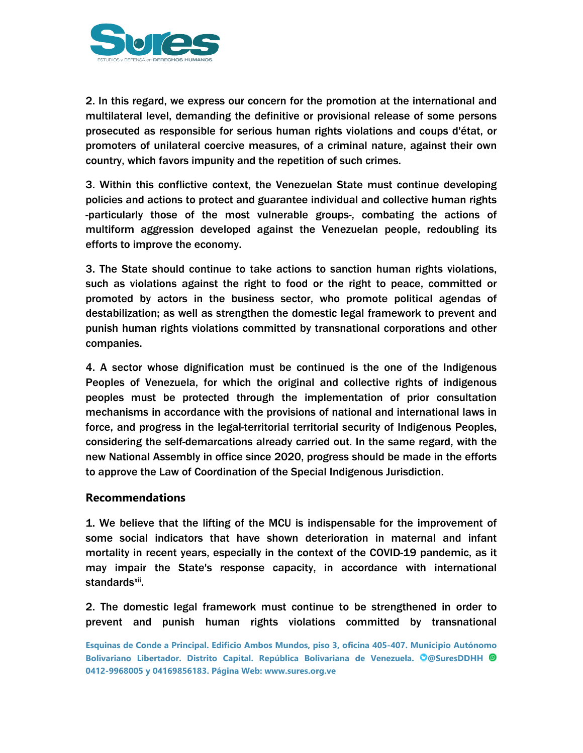

2. In this regard, we express our concern for the promotion at the international and multilateral level, demanding the definitive or provisional release of some persons prosecuted as responsible for serious human rights violations and coups d'état, or promoters of unilateral coercive measures, of <sup>a</sup> criminal nature, against their own country, which favors impunity and the repetition of such crimes.

3. Within this conflictive context, the Venezuelan State must continue developing policies and actions to protect and guarantee individual and collective human rights -particularly those of the most vulnerable groups-, combating the actions of multiform aggression developed against the Venezuelan people, redoubling its efforts to improve the economy.

3. The State should continue to take actions to sanction human rights violations, such as violations against the right to food or the right to peace, committed or promoted by actors in the business sector, who promote political agendas of destabilization; as well as strengthen the domestic legal framework to prevent and punish human rights violations committed by transnational corporations and other companies.

4. A sector whose dignification must be continued is the one of the Indigenous Peoples of Venezuela, for which the original and collective rights of indigenous peoples must be protected through the implementation of prior consultation mechanisms in accordance with the provisions of national and international laws in force, and progress in the legal-territorial territorial security of Indigenous Peoples, considering the self-demarcations already carried out. In the same regard, with the new National Assembly in office since 2020, progress should be made in the efforts to approve the Law of Coordination of the Special Indigenous Jurisdiction.

#### **Recommendations**

1. We believe that the lifting of the MCU is indispensable for the improvement of some social indicators that have shown deterioration in maternal and infant mortality in recent years, especially in the context of the COVID-19 pandemic, as it may impair the State's response capacity, in accordance with international standards<sup>xii</sup>.

2. The domestic legal framework must continue to be strengthened in order to prevent and punish human rights violations committed by transnational

**Esquinas de Conde <sup>a</sup> Principal. Edificio Ambos Mundos, piso 3, oficina 405-407. Municipio Autónomo Bolivariano Libertador. Distrito Capital. República Bolivariana de Venezuela. @SuresDDHH 0412-9968005 y 04169856183. Página Web: www.sures.org.ve**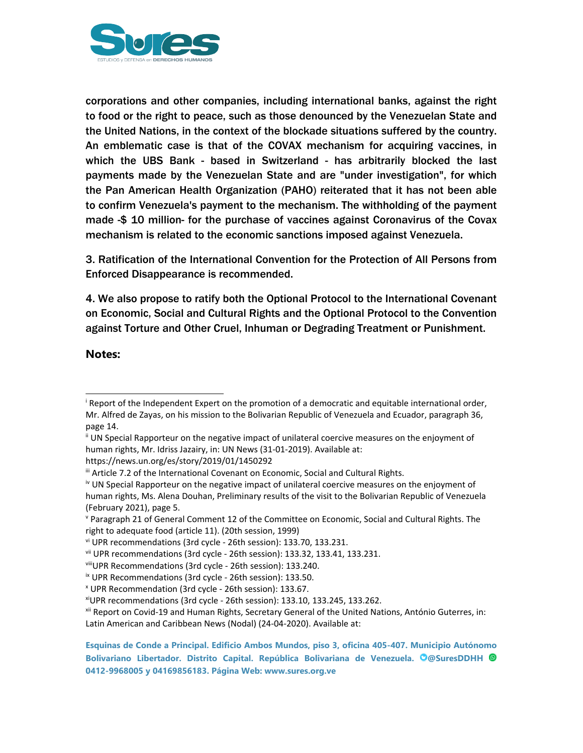

corporations and other companies, including international banks, against the right to food or the right to peace, such as those denounced by the Venezuelan State and the United Nations, in the context of the blockade situations suffered by the country. An emblematic case is that of the COVAX mechanism for acquiring vaccines, in which the UBS Bank - based in Switzerland - has arbitrarily blocked the last payments made by the Venezuelan State and are "under investigation", for which the Pan American Health Organization (PAHO) reiterated that it has not been able to confirm Venezuela's payment to the mechanism. The withholding of the payment made -\$ 10 million- for the purchase of vaccines against Coronavirus of the Covax mechanism is related to the economic sanctions imposed against Venezuela.

3. Ratification of the International Convention for the Protection of All Persons from Enforced Disappearance is recommended.

4. We also propose to ratify both the Optional Protocol to the International Covenant on Economic, Social and Cultural Rights and the Optional Protocol to the Convention against Torture and Other Cruel, Inhuman or Degrading Treatment or Punishment.

**Notes:**

ii UN Special Rapporteur on the negative impact of unilateral coercive measures on the enjoyment of human rights, Mr. Idriss Jazairy, in: UN News (31-01-2019). Available at:

https://news.un.org/es/story/2019/01/1450292

i Report of the Independent Expert on the promotion of <sup>a</sup> democratic and equitable international order, Mr. Alfred de Zayas, on his mission to the Bolivarian Republic of Venezuela and Ecuador, paragraph 36, page 14.

III Article 7.2 of the International Covenant on Economic, Social and Cultural Rights.

<sup>&</sup>lt;sup>iv</sup> UN Special Rapporteur on the negative impact of unilateral coercive measures on the enjoyment of human rights, Ms. Alena Douhan, Preliminary results of the visit to the Bolivarian Republic of Venezuela (February 2021), page 5.

v Paragraph 21 of General Comment 12 of the Committee on Economic, Social and Cultural Rights. The right to adequate food (article 11). (20th session, 1999)

vi UPR recommendations (3rd cycle - 26th session): 133.70, 133.231.

vii UPR recommendations (3rd cycle - 26th session): 133.32, 133.41, 133.231.

viii UPR Recommendations (3rd cycle - 26th session): 133.240.

<sup>&</sup>lt;sup>ix</sup> UPR Recommendations (3rd cycle - 26th session): 133.50.

x UPR Recommendation (3rd cycle - 26th session): 133.67.

xi UPR recommendations (3rd cycle - 26th session): 133.10, 133.245, 133.262.

xii Report on Covid-19 and Human Rights, Secretary General of the United Nations, António Guterres, in: Latin American and Caribbean News (Nodal) (24-04-2020). Available at:

**Esquinas de Conde <sup>a</sup> Principal. Edificio Ambos Mundos, piso 3, oficina 405-407. Municipio Autónomo Bolivariano Libertador. Distrito Capital. República Bolivariana de Venezuela. @SuresDDHH 0412-9968005 y 04169856183. Página Web: www.sures.org.ve**